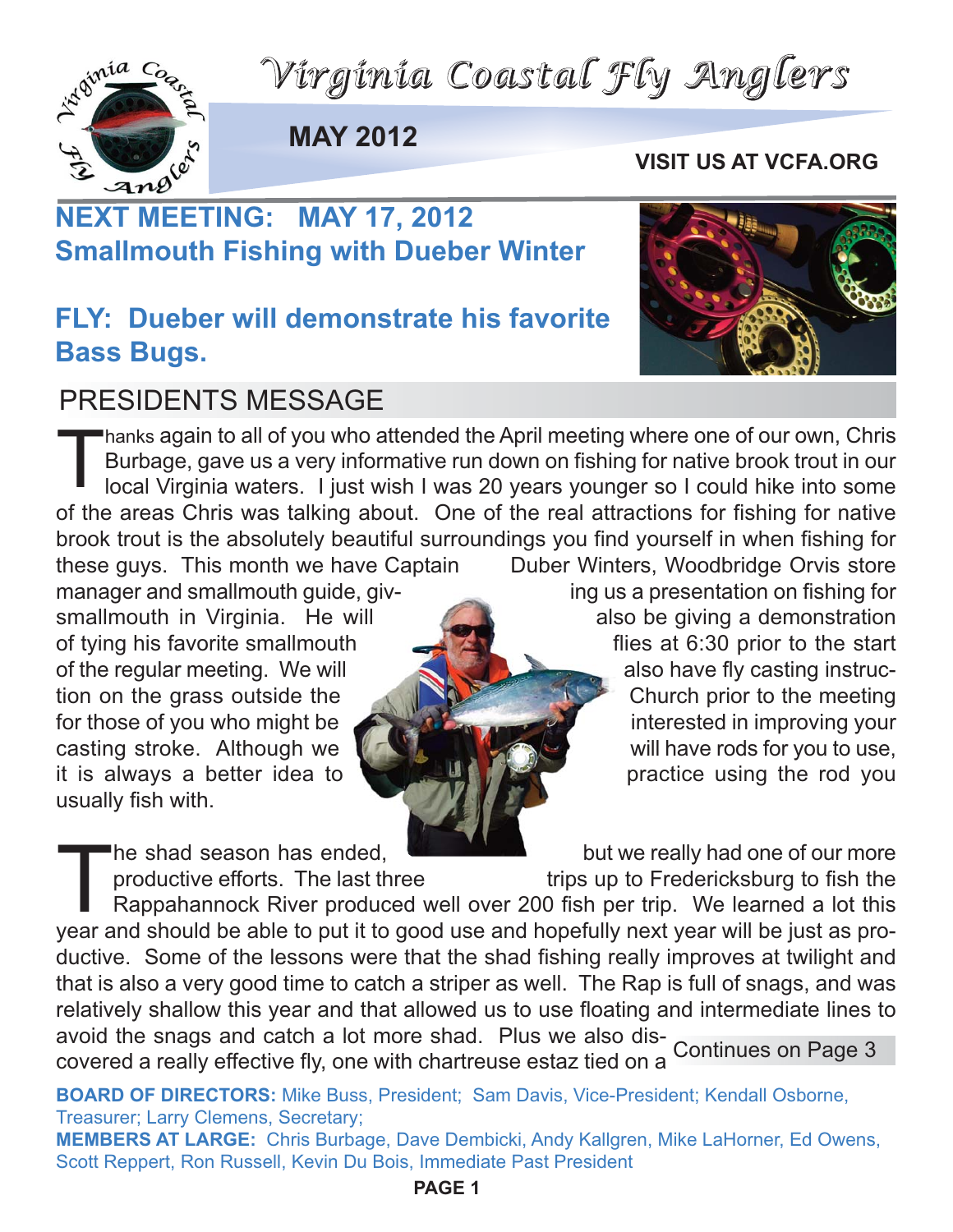



**MAY 2012**

#### **VISIT US AT VCFA.ORG**

## **NEXT MEETING: MAY 17, 2012 Smallmouth Fishing with Dueber Winter**

### **FLY: Dueber will demonstrate his favorite Bass Bugs.**



### PRESIDENTS MESSAGE

Thanks again to all of you who attended the April meeting where one of our own, Chrise Burbage, gave us a very informative run down on fishing for native brook trout in our local Virginia waters. I just wish I was 20 years Burbage, gave us a very informative run down on fishing for native brook trout in our local Virginia waters. I just wish I was 20 years younger so I could hike into some of the areas Chris was talking about. One of the real attractions for fishing for native brook trout is the absolutely beautiful surroundings you find yourself in when fishing for these guys. This month we have Captain Duber Winters, Woodbridge Orvis store manager and smallmouth quide, giv-<br>
ing us a presentation on fishing for

usually fish with.

smallmouth in Virginia. He will also be giving a demonstration of tying his favorite smallmouth flies at 6:30 prior to the start of the regular meeting. We will also have fly casting instruction on the grass outside the Church prior to the meeting for those of you who might be **interested in improving your** casting stroke. Although we will have rods for you to use, it is always a better idea to practice using the rod you

The shad season has ended,<br>
productive efforts. The last three trips up to Fredericksburg to fish the<br>
Rappahannock River produced well over 200 fish per trip. We learned a lot this<br>
vear and should be able to put it to go productive efforts. The last three trips up to Fredericksburg to fish the Rappahannock River produced well over 200 fish per trip. We learned a lot this year and should be able to put it to good use and hopefully next year will be just as productive. Some of the lessons were that the shad fishing really improves at twilight and that is also a very good time to catch a striper as well. The Rap is full of snags, and was relatively shallow this year and that allowed us to use floating and intermediate lines to avoid the snags and catch a lot more shad. Plus we also discovered a really effective fly, one with chartreuse estaz tied on a Continues on Page 3

**BOARD OF DIRECTORS:** Mike Buss, President; Sam Davis, Vice-President; Kendall Osborne, Treasurer; Larry Clemens, Secretary;

**MEMBERS AT LARGE:** Chris Burbage, Dave Dembicki, Andy Kallgren, Mike LaHorner, Ed Owens, Scott Reppert, Ron Russell, Kevin Du Bois, Immediate Past President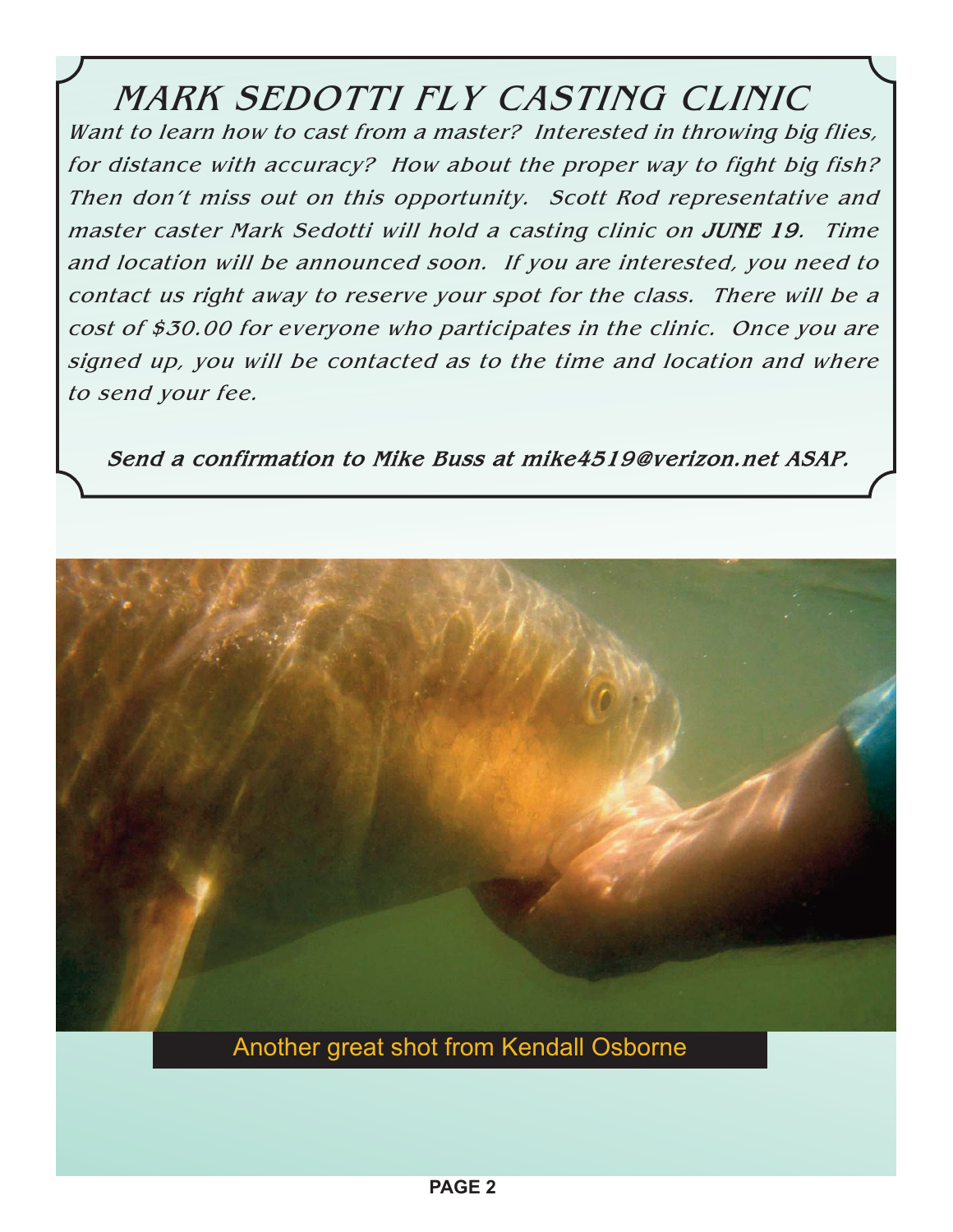### MARK SEDOTTI FLY CASTING CLINIC

Want to learn how to cast from a master? Interested in throwing big flies, for distance with accuracy? How about the proper way to fight big fish? Then don't miss out on this opportunity. Scott Rod representative and master caster Mark Sedotti will hold a casting clinic on **JUNE 19**. Time and location will be announced soon. If you are interested, you need to contact us right away to reserve your spot for the class. There will be a cost of \$30.00 for everyone who participates in the clinic. Once you are signed up, you will be contacted as to the time and location and where to send your fee.

**Send a confirmation to Mike Buss at mike4519@verizon.net ASAP.**



Another great shot from Kendall Osborne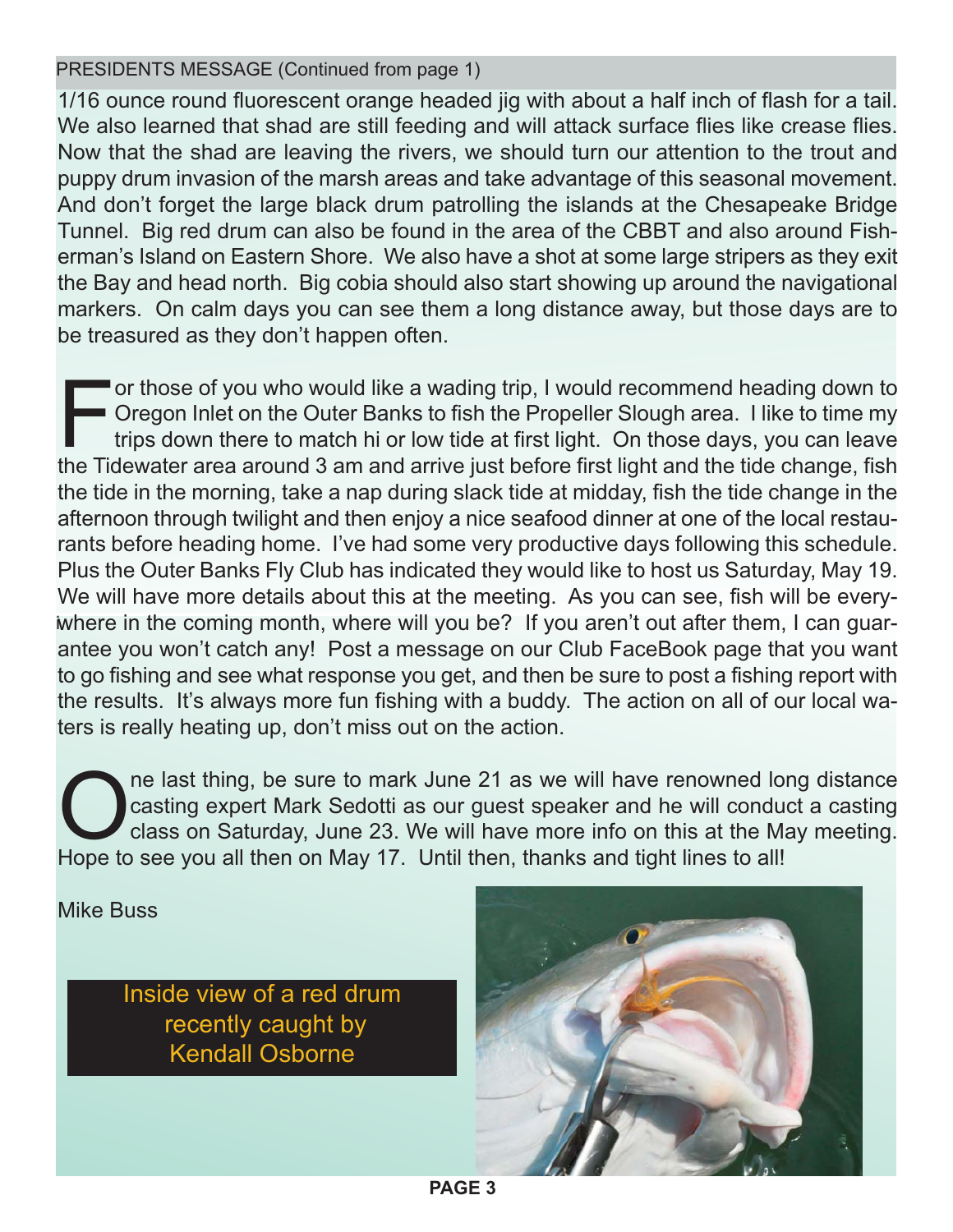PRESIDENTS MESSAGE (Continued from page 1)

1/16 ounce round fluorescent orange headed jig with about a half inch of flash for a tail. We also learned that shad are still feeding and will attack surface flies like crease flies. Now that the shad are leaving the rivers, we should turn our attention to the trout and puppy drum invasion of the marsh areas and take advantage of this seasonal movement. And don't forget the large black drum patrolling the islands at the Chesapeake Bridge Tunnel. Big red drum can also be found in the area of the CBBT and also around Fisherman's Island on Eastern Shore. We also have a shot at some large stripers as they exit the Bay and head north. Big cobia should also start showing up around the navigational markers. On calm days you can see them a long distance away, but those days are to be treasured as they don't happen often.

i where in the coming month, where will you be? If you aren't out after them, I can guaror those of you who would like a wading trip, I would recommend heading down to Oregon Inlet on the Outer Banks to fish the Propeller Slough area. I like to time my trips down there to match hi or low tide at first light. On those days, you can leave the Tidewater area around 3 am and arrive just before first light and the tide change, fish the tide in the morning, take a nap during slack tide at midday, fish the tide change in the afternoon through twilight and then enjoy a nice seafood dinner at one of the local restaurants before heading home. I've had some very productive days following this schedule. Plus the Outer Banks Fly Club has indicated they would like to host us Saturday, May 19. We will have more details about this at the meeting. As you can see, fish will be everyantee you won't catch any! Post a message on our Club FaceBook page that you want to go fishing and see what response you get, and then be sure to post a fishing report with the results. It's always more fun fishing with a buddy. The action on all of our local waters is really heating up, don't miss out on the action.

One last thing, be sure to mark June 21 as we will have renowned long distance<br>class on Saturday, June 23. We will have more info on this at the May meeting.<br>Hope to see you all then on May 17, Until then, thanks and tight casting expert Mark Sedotti as our guest speaker and he will conduct a casting class on Saturday, June 23. We will have more info on this at the May meeting. Hope to see you all then on May 17. Until then, thanks and tight lines to all!

Mike Buss

Inside view of a red drum recently caught by Kendall Osborne

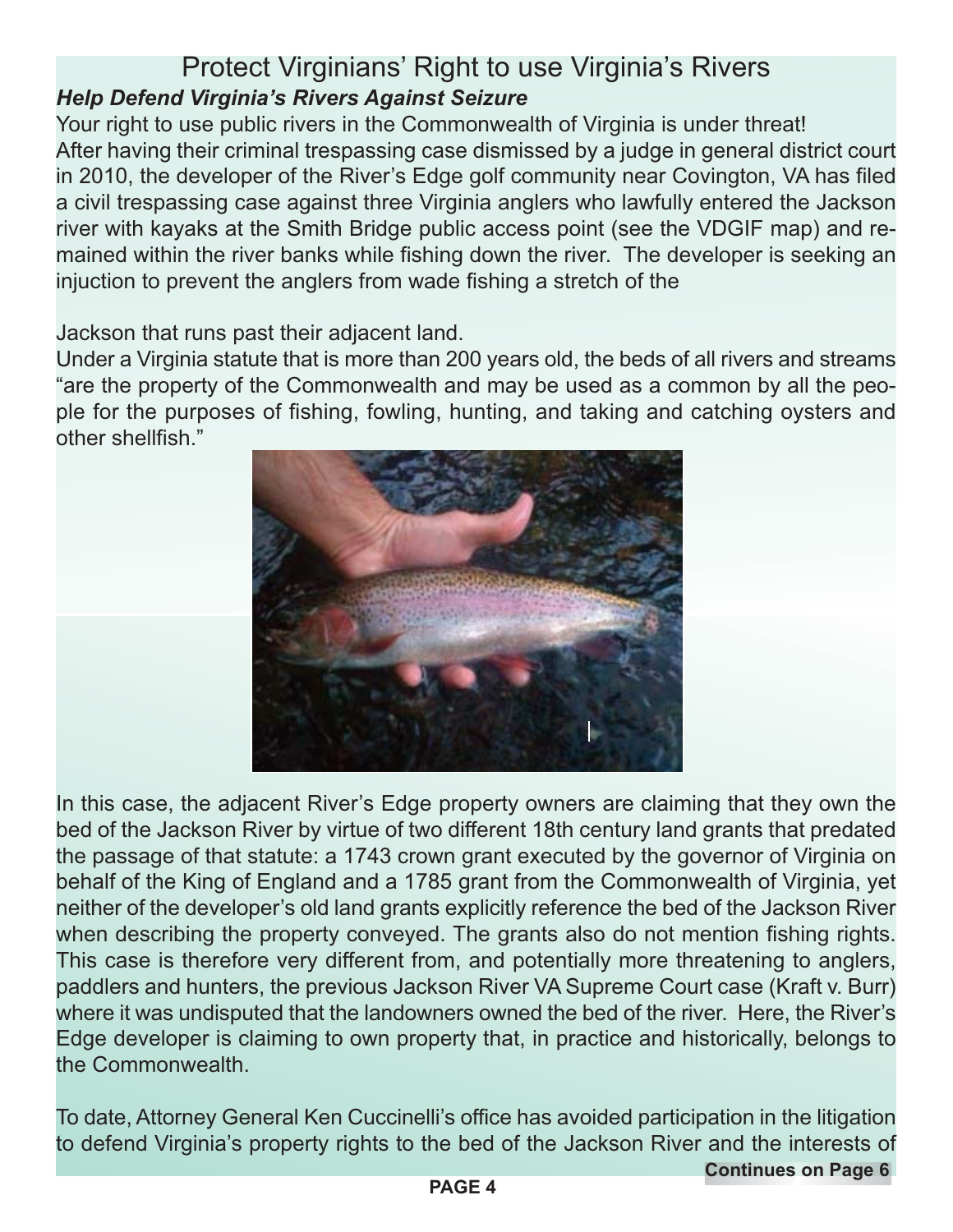#### Protect Virginians' Right to use Virginia's Rivers *Help Defend Virginia's Rivers Against Seizure*

Your right to use public rivers in the Commonwealth of Virginia is under threat! After having their criminal trespassing case dismissed by a judge in general district court in 2010, the developer of the River's Edge golf community near Covington, VA has filed a civil trespassing case against three Virginia anglers who lawfully entered the Jackson river with kayaks at the Smith Bridge public access point (see the VDGIF map) and remained within the river banks while fishing down the river. The developer is seeking an injuction to prevent the anglers from wade fishing a stretch of the

Jackson that runs past their adjacent land.

Under a Virginia statute that is more than 200 years old, the beds of all rivers and streams "are the property of the Commonwealth and may be used as a common by all the people for the purposes of fishing, fowling, hunting, and taking and catching oysters and other shellfish."



In this case, the adjacent River's Edge property owners are claiming that they own the bed of the Jackson River by virtue of two different 18th century land grants that predated the passage of that statute: a 1743 crown grant executed by the governor of Virginia on behalf of the King of England and a 1785 grant from the Commonwealth of Virginia, yet neither of the developer's old land grants explicitly reference the bed of the Jackson River when describing the property conveyed. The grants also do not mention fishing rights. This case is therefore very different from, and potentially more threatening to anglers, paddlers and hunters, the previous Jackson River VA Supreme Court case (Kraft v. Burr) where it was undisputed that the landowners owned the bed of the river. Here, the River's Edge developer is claiming to own property that, in practice and historically, belongs to the Commonwealth.

To date, Attorney General Ken Cuccinelli's office has avoided participation in the litigation to defend Virginia's property rights to the bed of the Jackson River and the interests of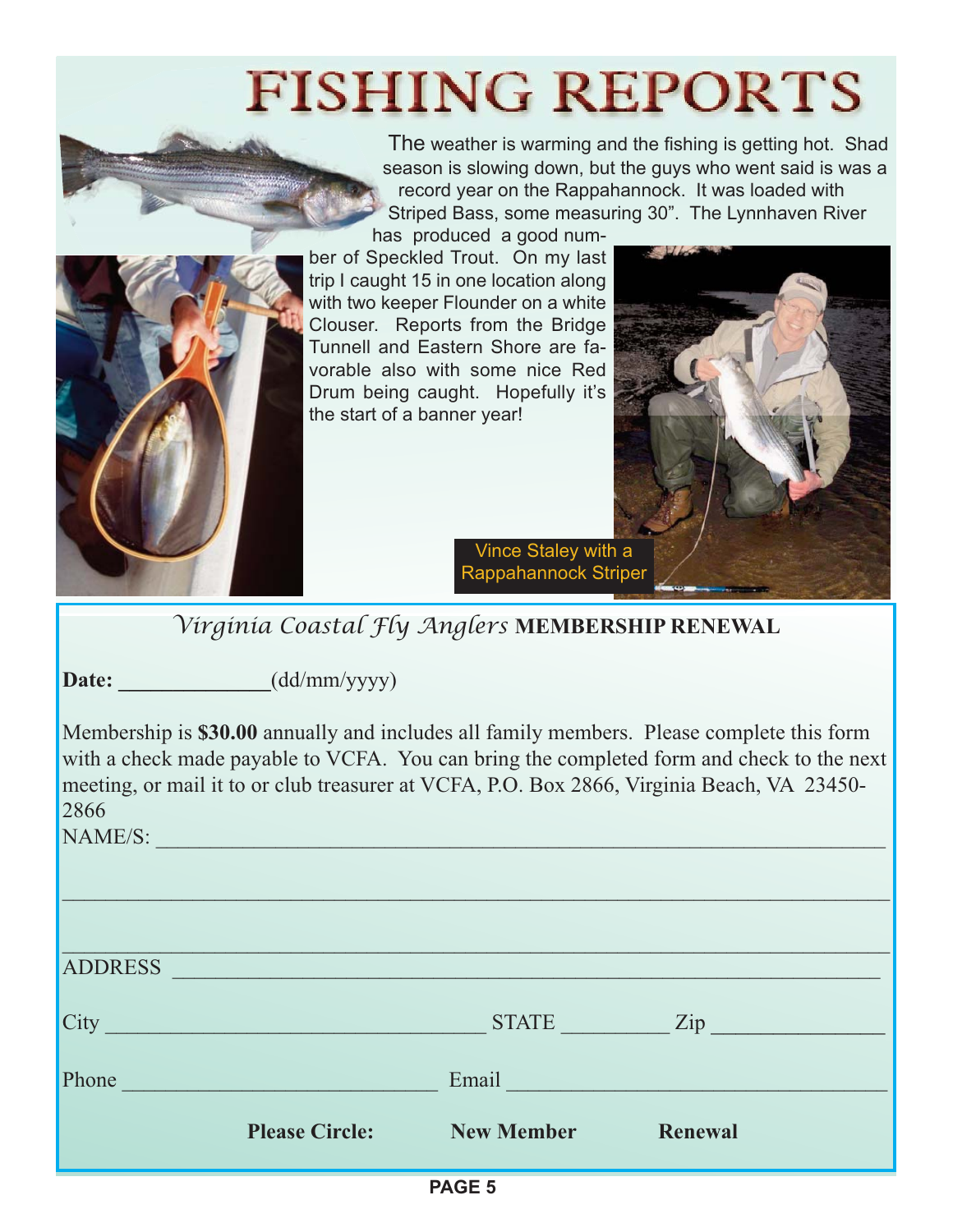# **FISHING REPORTS**



The weather is warming and the fishing is getting hot. Shad season is slowing down, but the guys who went said is was a record year on the Rappahannock. It was loaded with Striped Bass, some measuring 30". The Lynnhaven River

has produced a good number of Speckled Trout. On my last trip I caught 15 in one location along with two keeper Flounder on a white Clouser. Reports from the Bridge Tunnell and Eastern Shore are favorable also with some nice Red Drum being caught. Hopefully it's the start of a banner year!



Vince Staley with a Rappahannock Striper

*Virginia Coastal Fly Anglers* **MEMBERSHIP RENEWAL**

Date:  $(dd/mm/yyyy)$ 

Membership is **\$30.00** annually and includes all family members. Please complete this form with a check made payable to VCFA. You can bring the completed form and check to the next meeting, or mail it to or club treasurer at VCFA, P.O. Box 2866, Virginia Beach, VA 23450- 2866

NAME/S: \_\_\_\_\_\_\_\_\_\_\_\_\_\_\_\_\_\_\_\_\_\_\_\_\_\_\_\_\_\_\_\_\_\_\_\_\_\_\_\_\_\_\_\_\_\_\_\_\_\_\_\_\_\_\_\_\_\_\_\_\_\_\_\_\_\_\_

| DACE E         |                                                                                                                       |                   |                |  |
|----------------|-----------------------------------------------------------------------------------------------------------------------|-------------------|----------------|--|
|                | <b>Please Circle:</b>                                                                                                 | <b>New Member</b> | <b>Renewal</b> |  |
| Phone          |                                                                                                                       | Email             |                |  |
| City           | <u> 1989 - Johann Barn, mars ann an t-Amhair an t-Amhair an t-Amhair an t-Amhair an t-Amhair an t-Amhair an t-Amh</u> | <b>STATE</b>      | $\mathbf{Zip}$ |  |
| <b>ADDRESS</b> | <u> 1989 - Andrea Stadt Britain, amerikansk politiker (d. 1989)</u>                                                   |                   |                |  |
|                |                                                                                                                       |                   |                |  |
|                |                                                                                                                       |                   |                |  |